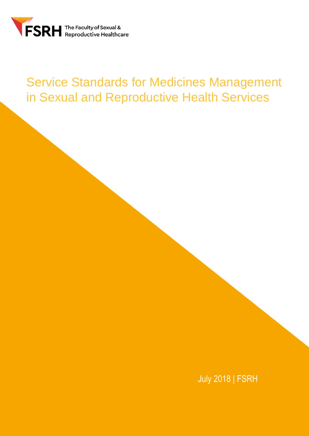

# Service Standards for Medicines Management in Sexual and Reproductive Health Services

July 2018 | FSRH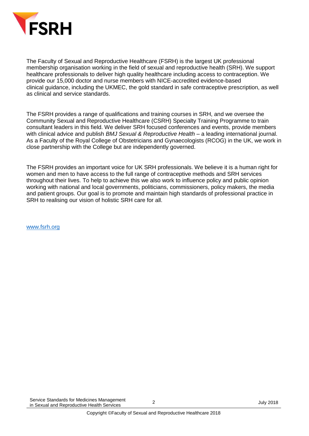

The Faculty of Sexual and Reproductive Healthcare (FSRH) is the largest UK professional membership organisation working in the field of sexual and reproductive health (SRH). We support healthcare professionals to deliver high quality healthcare including access to contraception. We provide our 15,000 doctor and nurse members with NICE-accredited evidence-based clinical guidance, including the UKMEC, the gold standard in safe contraceptive prescription, as well as clinical and service standards.

The FSRH provides a range of qualifications and training courses in SRH, and we oversee the Community Sexual and Reproductive Healthcare (CSRH) Specialty Training Programme to train consultant leaders in this field. We deliver SRH focused conferences and events, provide members with clinical advice and publish *BMJ Sexual & Reproductive Health* – a leading international journal. As a Faculty of the Royal College of Obstetricians and Gynaecologists (RCOG) in the UK, we work in close partnership with the College but are independently governed.

The FSRH provides an important voice for UK SRH professionals. We believe it is a human right for women and men to have access to the full range of contraceptive methods and SRH services throughout their lives. To help to achieve this we also work to influence policy and public opinion working with national and local governments, politicians, commissioners, policy makers, the media and patient groups. Our goal is to promote and maintain high standards of professional practice in SRH to realising our vision of holistic SRH care for all.

[www.fsrh.org](http://www.fsrh.org/)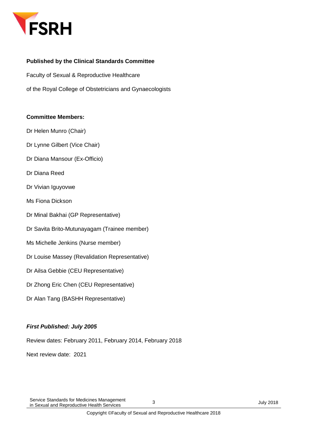

#### **Published by the Clinical Standards Committee**

Faculty of Sexual & Reproductive Healthcare

of the Royal College of Obstetricians and Gynaecologists

#### **Committee Members:**

- Dr Helen Munro (Chair)
- Dr Lynne Gilbert (Vice Chair)
- Dr Diana Mansour (Ex-Officio)
- Dr Diana Reed
- Dr Vivian Iguyovwe
- Ms Fiona Dickson
- Dr Minal Bakhai (GP Representative)
- Dr Savita Brito-Mutunayagam (Trainee member)
- Ms Michelle Jenkins (Nurse member)
- Dr Louise Massey (Revalidation Representative)
- Dr Ailsa Gebbie (CEU Representative)
- Dr Zhong Eric Chen (CEU Representative)
- Dr Alan Tang (BASHH Representative)

#### *First Published: July 2005*

Review dates: February 2011, February 2014, February 2018

Next review date: 2021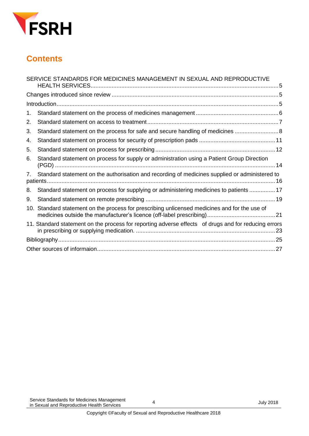

## **Contents**

|                | SERVICE STANDARDS FOR MEDICINES MANAGEMENT IN SEXUAL AND REPRODUCTIVE                                |  |
|----------------|------------------------------------------------------------------------------------------------------|--|
|                |                                                                                                      |  |
|                |                                                                                                      |  |
| 1.             |                                                                                                      |  |
| 2.             |                                                                                                      |  |
| 3.             | Standard statement on the process for safe and secure handling of medicines                          |  |
| 4.             |                                                                                                      |  |
| 5.             |                                                                                                      |  |
| 6.             | Standard statement on process for supply or administration using a Patient Group Direction           |  |
| 7 <sup>7</sup> | Standard statement on the authorisation and recording of medicines supplied or administered to       |  |
| 8.             | Standard statement on process for supplying or administering medicines to patients  17               |  |
| 9.             |                                                                                                      |  |
|                | 10. Standard statement on the process for prescribing unlicensed medicines and for the use of        |  |
|                | 11. Standard statement on the process for reporting adverse effects of drugs and for reducing errors |  |
|                |                                                                                                      |  |
|                |                                                                                                      |  |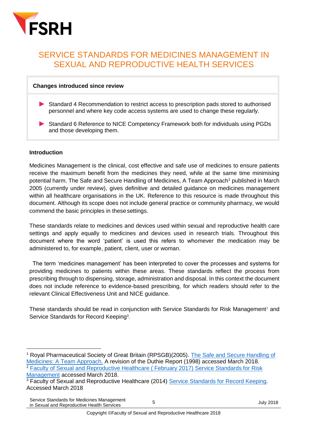

### <span id="page-4-0"></span>SERVICE STANDARDS FOR MEDICINES MANAGEMENT IN SEXUAL AND REPRODUCTIVE HEALTH SERVICES

#### <span id="page-4-1"></span>**Changes introduced since review**

- Standard 4 Recommendation to restrict access to prescription pads stored to authorised personnel and where key code access systems are used to change these regularly.
- ▶ Standard 6 Reference to NICE Competency Framework both for individuals using PGDs and those developing them.

#### <span id="page-4-2"></span>**Introduction**

**.** 

Medicines Management is the clinical, cost effective and safe use of medicines to ensure patients receive the maximum benefit from the medicines they need, while at the same time minimising potential harm. The Safe and Secure Handling of Medicines, A Team Approach<sup>1</sup> published in March 2005 (currently under review), gives definitive and detailed guidance on medicines management within all healthcare organisations in the UK. Reference to this resource is made throughout this document. Although its scope does not include general practice or community pharmacy, we would commend the basic principles in these settings.

These standards relate to medicines and devices used within sexual and reproductive health care settings and apply equally to medicines and devices used in research trials. Throughout this document where the word 'patient' is used this refers to whomever the medication may be administered to, for example, patient, client, user or woman.

 The term 'medicines management' has been interpreted to cover the processes and systems for providing medicines to patients within these areas. These standards reflect the process from prescribing through to dispensing, storage, administration and disposal. In this context the document does not include reference to evidence-based prescribing, for which readers should refer to the relevant Clinical Effectiveness Unit and NICE guidance.

<span id="page-4-3"></span>These standards should be read in conjunction with Service Standards for Risk Management<sup>2</sup> and Service Standards for Record Keeping<sup>3</sup>.

Service Standards for Medicines Management Service Stariuarus for Medicines Management<br>in Sexual and Reproductive Health Services 5 July 2018

Royal Pharmaceutical Society of Great Britain (RPSGB)(2005). The Safe and Secure Handling of [Medicines: A Team Approach.](https://www.rpharms.com/making-a-difference/projects-and-campaigns/safe-and-secure-handling-of-medicines) A revision of the Duthie Report (1998) accessed March 2018.

<sup>&</sup>lt;sup>2</sup> Faculty of Sexual and Reproductive Healthcare ( February 2017) Service Standards for Risk [Management](https://www.fsrh.org/standards-and-guidance/documents/fsrh-service-standards-for-risk-management-in-sexual-and/) accessed March 2018.

<sup>&</sup>lt;sup>3</sup> Faculty of Sexual and Reproductive Healthcare (2014) [Service Standards for Record Keeping.](https://www.fsrh.org/standards-and-guidance/documents/clinical-standards-recordkeeping-july14/) Accessed March 2018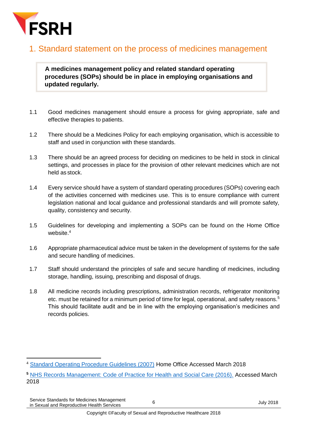

#### 1. Standard statement on the process of medicines management

**A medicines management policy and related standard operating procedures (SOPs) should be in place in employing organisations and updated regularly.**

- 1.1 Good medicines management should ensure a process for giving appropriate, safe and effective therapies to patients.
- 1.2 There should be a Medicines Policy for each employing organisation, which is accessible to staff and used in conjunction with these standards.
- 1.3 There should be an agreed process for deciding on medicines to be held in stock in clinical settings, and processes in place for the provision of other relevant medicines which are not held as stock.
- 1.4 Every service should have a system of standard operating procedures (SOPs) covering each of the activities concerned with medicines use. This is to ensure compliance with current legislation national and local guidance and professional standards and will promote safety, quality, consistency and security.
- 1.5 Guidelines for developing and implementing a SOPs can be found on the Home Office website. 4
- 1.6 Appropriate pharmaceutical advice must be taken in the development of systems for the safe and secure handling of medicines.
- 1.7 Staff should understand the principles of safe and secure handling of medicines, including storage, handling, issuing, prescribing and disposal of drugs.
- <span id="page-5-0"></span>1.8 All medicine records including prescriptions, administration records, refrigerator monitoring etc. must be retained for a minimum period of time for legal, operational, and safety reasons.<sup>5</sup> This should facilitate audit and be in line with the employing organisation's medicines and records policies.

<sup>1</sup> <sup>4</sup> [Standard Operating Procedure Guidelines \(2007\)](https://www.gov.uk/government/publications/standard-operating-procedure-guidelines) Home Office Accessed March 2018

**<sup>5</sup>** [NHS Records Management: Code of Practice for Health and Social Care \(2016\).](https://www.gov.uk/government/publications/records-management-code-of-practice-for-health-and-social-care) Accessed March 2018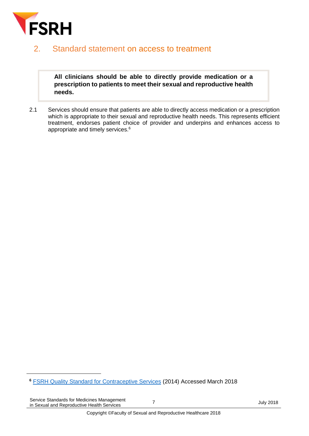

#### 2. Standard statement on access to treatment

**All clinicians should be able to directly provide medication or a prescription to patients to meet their sexual and reproductive health needs.**

2.1 Services should ensure that patients are able to directly access medication or a prescription which is appropriate to their sexual and reproductive health needs. This represents efficient treatment, endorses patient choice of provider and underpins and enhances access to appropriate and timely services.<sup>6</sup>

**.** 

**<sup>6</sup>** [FSRH Quality Standard for Contraceptive Services](https://www.fsrh.org/standards-and-guidance/documents/fsrhqualitystandardcontraceptiveservices/) (2014) Accessed March 2018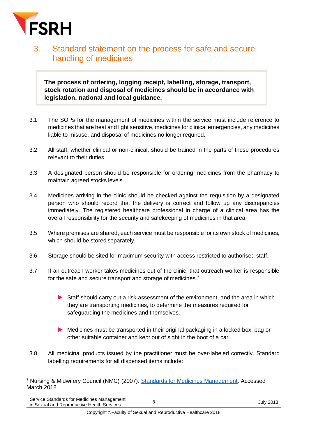

**.** 

### <span id="page-7-0"></span>3. Standard statement on the process for safe and secure handling of medicines

**The process of ordering, logging receipt, labelling, storage, transport, stock rotation and disposal of medicines should be in accordance with legislation, national and local guidance.**

- 3.1 The SOPs for the management of medicines within the service must include reference to medicines that are heat and light sensitive, medicines for clinical emergencies, any medicines liable to misuse, and disposal of medicines no longer required.
- 3.2 All staff, whether clinical or non-clinical, should be trained in the parts of these procedures relevant to their duties.
- 3.3 A designated person should be responsible for ordering medicines from the pharmacy to maintain agreed stocks levels.
- 3.4 Medicines arriving in the clinic should be checked against the requisition by a designated person who should record that the delivery is correct and follow up any discrepancies immediately. The registered healthcare professional in charge of a clinical area has the overall responsibility for the security and safekeeping of medicines in that area.
- 3.5 Where premises are shared, each service must be responsible for its own stock of medicines, which should be stored separately.
- 3.6 Storage should be sited for maximum security with access restricted to authorised staff.
- 3.7 If an outreach worker takes medicines out of the clinic, that outreach worker is responsible for the safe and secure transport and storage of medicines.<sup>7</sup>
	- Staff should carry out a risk assessment of the environment, and the area in which they are transporting medicines, to determine the measures required for safeguarding the medicines and themselves.
	- Medicines must be transported in their original packaging in a locked box, bag or other suitable container and kept out of sight in the boot of a car.
- 3.8 All medicinal products issued by the practitioner must be over-labeled correctly. Standard labelling requirements for all dispensed items include:

Service Standards for Medicines Management Service Standards for Medicines Management<br>
in Sexual and Reproductive Health Services<br> **B** 

<sup>&</sup>lt;sup>7</sup> Nursing & Midwifery Council (NMC) (2007). [Standards for Medicines Management.](https://www.nmc.org.uk/standards/additional-standards/standards-for-medicines-management/) Accessed March 2018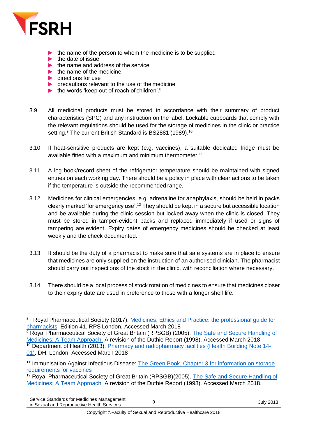

- the name of the person to whom the medicine is to be supplied
- $\cdot$  the date of issue
- $\blacktriangleright$  the name and address of the service
- $\blacktriangleright$ the name of the medicine
- $\blacktriangleright$ directions for use
- precautions relevant to the use of the medicine
- the words 'keep out of reach of children'. 8
- 3.9 All medicinal products must be stored in accordance with their summary of product characteristics (SPC) and any instruction on the label. Lockable cupboards that comply with the relevant regulations should be used for the storage of medicines in the clinic or practice setting.<sup>9</sup> The current British Standard is BS2881 (1989).<sup>10</sup>
- 3.10 If heat-sensitive products are kept (e.g. vaccines), a suitable dedicated fridge must be available fitted with a maximum and minimum thermometer.<sup>11</sup>
- 3.11 A log book/record sheet of the refrigerator temperature should be maintained with signed entries on each working day. There should be a policy in place with clear actions to be taken if the temperature is outside the recommended range.
- 3.12 Medicines for clinical emergencies, e.g. adrenaline for anaphylaxis, should be held in packs clearly marked 'for emergency use'.<sup>12</sup> They should be kept in a secure but accessible location and be available during the clinic session but locked away when the clinic is closed. They must be stored in tamper-evident packs and replaced immediately if used or signs of tampering are evident. Expiry dates of emergency medicines should be checked at least weekly and the check documented.
- 3.13 It should be the duty of a pharmacist to make sure that safe systems are in place to ensure that medicines are only supplied on the instruction of an authorised clinician. The pharmacist should carry out inspections of the stock in the clinic, with reconciliation where necessary.
- 3.14 There should be a local process of stock rotation of medicines to ensure that medicines closer to their expiry date are used in preference to those with a longer shelf life.

<sup>1</sup> 8 Royal Pharmaceutical Society (2017). [Medicines, Ethics and Practice: the professional guide for](https://www.rpharms.com/resources/publications/medicines-ethics-and-practice-mep)  [pharmacists.](https://www.rpharms.com/resources/publications/medicines-ethics-and-practice-mep) Edition 41. RPS London. Accessed March 2018

<sup>9</sup> Royal Pharmaceutical Society of Great Britain (RPSGB) (2005). [The Safe and Secure Handling of](https://www.rpharms.com/making-a-difference/projects-and-campaigns/safe-and-secure-handling-of-medicines)  [Medicines: A Team Approach.](https://www.rpharms.com/making-a-difference/projects-and-campaigns/safe-and-secure-handling-of-medicines) A revision of the Duthie Report (1998). Accessed March 2018 <sup>10</sup> Department of Health (2013). [Pharmacy and radiopharmacy facilities \(Health Building Note 14-](https://www.gov.uk/government/publications/guidance-on-the-design-and-layout-of-pharmacy-and-radiopharmacy-facilities) [01\).](https://www.gov.uk/government/publications/guidance-on-the-design-and-layout-of-pharmacy-and-radiopharmacy-facilities) DH: London. Accessed March 2018

<sup>11</sup> Immunisation Against Infectious Disease: [The Green Book, Chapter 3](https://www.gov.uk/government/publications/storage-distribution-and-disposal-of-vaccines-the-green-book-chapter-3) for information on storage [requirements for vaccines](https://www.gov.uk/government/publications/storage-distribution-and-disposal-of-vaccines-the-green-book-chapter-3)

<sup>&</sup>lt;sup>12</sup> Royal Pharmaceutical Society of Great Britain (RPSGB)(2005). The Safe and Secure Handling of [Medicines: A Team Approach.](https://www.rpharms.com/making-a-difference/projects-and-campaigns/safe-and-secure-handling-of-medicines) A revision of the Duthie Report (1998). Accessed March 2018.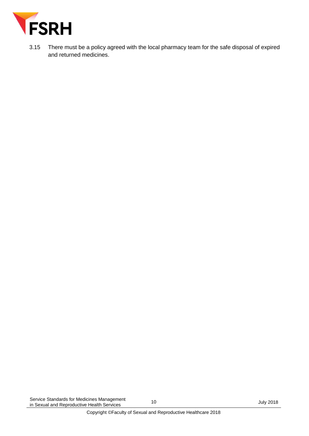

3.15 There must be a policy agreed with the local pharmacy team for the safe disposal of expired and returned medicines.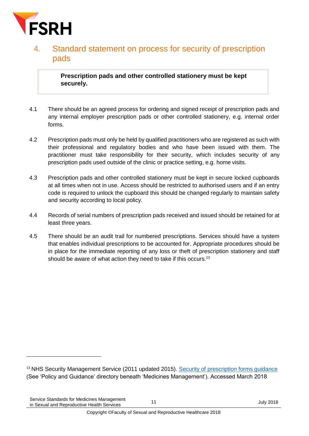

#### <span id="page-10-0"></span>4. Standard statement on process for security of prescription pads.

**Prescription pads and other controlled stationery must be kept securely.**

- 4.1 There should be an agreed process for ordering and signed receipt of prescription pads and any internal employer prescription pads or other controlled stationery, e.g. internal order forms.
- 4.2 Prescription pads must only be held by qualified practitioners who are registered as such with their professional and regulatory bodies and who have been issued with them. The practitioner must take responsibility for their security, which includes security of any prescription pads used outside of the clinic or practice setting, e.g. home visits.
- 4.3 Prescription pads and other controlled stationery must be kept in secure locked cupboards at all times when not in use. Access should be restricted to authorised users and if an entry code is required to unlock the cupboard this should be changed regularly to maintain safety and security according to local policy.
- 4.4 Records of serial numbers of prescription pads received and issued should be retained for at least three years.
- <span id="page-10-1"></span>4.5 There should be an audit trail for numbered prescriptions. Services should have a system that enables individual prescriptions to be accounted for. Appropriate procedures should be in place for the immediate reporting of any loss or theft of prescription stationery and staff should be aware of what action they need to take if this occurs.<sup>13</sup>

-

<sup>&</sup>lt;sup>13</sup> NHS Security Management Service (2011 updated 2015). [Security of prescription forms guidance](https://www.neneccg.nhs.uk/document-library/) (See 'Policy and Guidance' directory beneath 'Medicines Management'). Accessed March 2018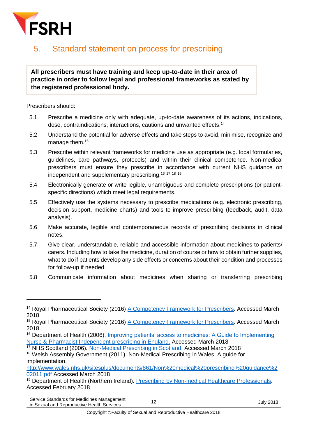

### 5. Standard statement on process for prescribing

#### **All prescribers must have training and keep up-to-date in their area of practice in order to follow legal and professional frameworks as stated by the registered professional body.**

Prescribers should:

1

- 5.1 Prescribe a medicine only with adequate, up-to-date awareness of its actions, indications, dose, contraindications, interactions, cautions and unwanted effects. 14
- 5.2 Understand the potential for adverse effects and take steps to avoid, minimise, recognize and manage them.<sup>15</sup>
- 5.3 Prescribe within relevant frameworks for medicine use as appropriate (e.g. local formularies, guidelines, care pathways, protocols) and within their clinical competence. Non-medical prescribers must ensure they prescribe in accordance with current NHS guidance on independent and supplementary prescribing.<sup>16</sup> <sup>17</sup> <sup>18</sup> <sup>19</sup>
- 5.4 Electronically generate or write legible, unambiguous and complete prescriptions (or patientspecific directions) which meet legal requirements.
- 5.5 Effectively use the systems necessary to prescribe medications (e.g. electronic prescribing, decision support, medicine charts) and tools to improve prescribing (feedback, audit, data analysis).
- 5.6 Make accurate, legible and contemporaneous records of prescribing decisions in clinical notes.
- 5.7 Give clear, understandable, reliable and accessible information about medicines to patients/ carers. Including how to take the medicine, duration of course or how to obtain further supplies, what to do if patients develop any side effects or concerns about their condition and processes for follow-up if needed.
- 5.8 Communicate information about medicines when sharing or transferring prescribing

<sup>&</sup>lt;sup>14</sup> Royal Pharmaceutical Society (2016) [A Competency Framework for Prescribers.](https://www.rpharms.com/resources/frameworks/prescribers-competency-framework) Accessed March 2018

<sup>&</sup>lt;sup>15</sup> Royal Pharmaceutical Society (2016) [A Competency Framework for Prescribers.](https://www.rpharms.com/resources/frameworks/prescribers-competency-framework) Accessed March 2018

<sup>&</sup>lt;sup>16</sup> Department of Health (2006). Improving patients' access to medicines: A Guide to Implementing [Nurse & Pharmacist Independent prescribing in England.](http://webarchive.nationalarchives.gov.uk/20120907164805/http:/www.dh.gov.uk/en/Publicationsandstatistics/Publications/PublicationsPolicyAndGuidance/DH_4133743) Accessed March 2018

<sup>&</sup>lt;sup>17</sup> NHS Scotland (2006). [Non-Medical Prescribing in Scotland.](http://www.gov.scot/Topics/Health/NHS-Workforce/Pharmacists/Non-Medical-Prescribing) Accessed March 2018

<sup>&</sup>lt;sup>18</sup> Welsh Assembly Government (2011). Non-Medical Prescribing in Wales: A guide for implementation.

[http://www.wales.nhs.uk/sitesplus/documents/861/Non%20medical%20prescribing%20guidance%2](http://www.wales.nhs.uk/sitesplus/documents/861/Non%20medical%20prescribing%20guidance%202011.pdf) [02011.pdf](http://www.wales.nhs.uk/sitesplus/documents/861/Non%20medical%20prescribing%20guidance%202011.pdf) Accessed March 2018

<sup>&</sup>lt;sup>19</sup> Department of Health (Northern Ireland). [Prescribing by Non-medical Healthcare Professionals.](https://www.health-ni.gov.uk/articles/pharmaceutical-non-medical-prescribing) Accessed February 2018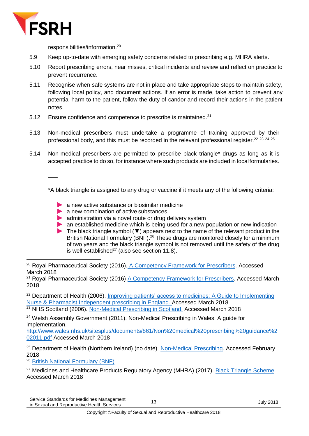

 $\overline{\phantom{a}}$ 

responsibilities/information. 20

- 5.9 Keep up-to-date with emerging safety concerns related to prescribing e.g. MHRA alerts.
- 5.10 Report prescribing errors, near misses, critical incidents and review and reflect on practice to prevent recurrence.
- 5.11 Recognise when safe systems are not in place and take appropriate steps to maintain safety, following local policy, and document actions. If an error is made, take action to prevent any potential harm to the patient, follow the duty of candor and record their actions in the patient notes.
- 5.12 Ensure confidence and competence to prescribe is maintained.<sup>21</sup>
- 5.13 Non-medical prescribers must undertake a programme of training approved by their professional body, and this must be recorded in the relevant professional register.<sup>22</sup> <sup>23</sup> <sup>24</sup> <sup>25</sup>
- 5.14 Non-medical prescribers are permitted to prescribe black triangle\* drugs as long as it is accepted practice to do so, for instance where such products are included in localformularies.

\*A black triangle is assigned to any drug or vaccine if it meets any of the following criteria:

- **A** a new active substance or biosimilar medicine
- a new combination of active substances
- administration via a novel route or drug delivery system
- an established medicine which is being used for a new population or new indication
- The black triangle symbol (▼) appears next to the name of the relevant product in the British National Formulary (BNF).<sup>26</sup> These drugs are monitored closely for a minimum of two years and the black triangle symbol is not removed until the safety of the drug is well established<sup>27</sup> (also see section 11.8).

<sup>22</sup> Department of Health (2006). Improving patients' access to medicines: A Guide to Implementing [Nurse & Pharmacist Independent prescribing in England.](http://webarchive.nationalarchives.gov.uk/20120907164805/http:/www.dh.gov.uk/en/Publicationsandstatistics/Publications/PublicationsPolicyAndGuidance/DH_4133743) Accessed March 2018 <sup>23</sup> NHS Scotland (2006). [Non-Medical Prescribing in Scotland.](http://www.gov.scot/Topics/Health/NHS-Workforce/Pharmacists/Non-Medical-Prescribing) Accessed March 2018

 $24$  Welsh Assembly Government (2011). Non-Medical Prescribing in Wales: A quide for implementation.

[http://www.wales.nhs.uk/sitesplus/documents/861/Non%20medical%20prescribing%20guidance%2](http://www.wales.nhs.uk/sitesplus/documents/861/Non%20medical%20prescribing%20guidance%202011.pdf) [02011.pdf](http://www.wales.nhs.uk/sitesplus/documents/861/Non%20medical%20prescribing%20guidance%202011.pdf) Accessed March 2018

<sup>25</sup> Department of Health (Northern Ireland) (no date) [Non-Medical Prescribing.](https://www.health-ni.gov.uk/articles/pharmaceutical-non-medical-prescribing) Accessed February 2018

<sup>26</sup> [British National Formulary \(BNF\)](https://www.bnf.org/)

<sup>27</sup> Medicines and Healthcare Products Regulatory Agency (MHRA) (2017). [Black Triangle Scheme.](https://www.gov.uk/guidance/the-yellow-card-scheme-guidance-for-healthcare-professionals#black-triangle-scheme) Accessed March 2018

<sup>1</sup> <sup>20</sup> Royal Pharmaceutical Society (2016). [A Competency Framework for Prescribers.](https://www.rpharms.com/resources/frameworks/prescribers-competency-framework) Accessed March 2018

<sup>&</sup>lt;sup>21</sup> Royal Pharmaceutical Society (2016)  $\triangle$  Competency Framework for Prescribers. Accessed March 2018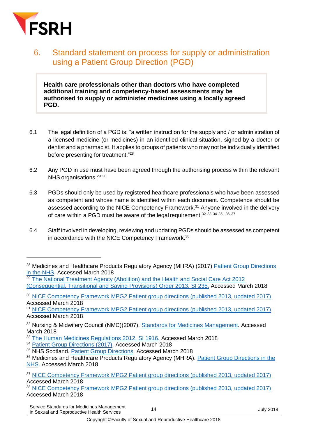

-

### <span id="page-13-0"></span>6. Standard statement on process for supply or administration using a Patient Group Direction (PGD)

**Health care professionals other than doctors who have completed additional training and competency-based assessments may be authorised to supply or administer medicines using a locally agreed PGD.**

- 6.1 The legal definition of a PGD is: "a written instruction for the supply and / or administration of a licensed medicine (or medicines) in an identified clinical situation, signed by a doctor or dentist and a pharmacist. It applies to groups of patients who may not be individually identified before presenting for treatment." 28
- 6.2 Any PGD in use must have been agreed through the authorising process within the relevant NHS organisations.<sup>29 30</sup>
- 6.3 PGDs should only be used by registered healthcare professionals who have been assessed as competent and whose name is identified within each document. Competence should be assessed according to the NICE Competency Framework.<sup>31</sup> Anyone involved in the delivery of care within a PGD must be aware of the legal requirement.<sup>32 33 34 35</sup> 36 37
- 6.4 Staff involved in developing, reviewing and updating PGDs should be assessed as competent in accordance with the NICE Competency Framework.<sup>38</sup>

<sup>&</sup>lt;sup>28</sup> Medicines and Healthcare Products Regulatory Agency (MHRA) (2017) Patient Group Directions [in the NHS.](https://www.gov.uk/government/publications/patient-group-directions-pgds/patient-group-directions-who-can-use-them) Accessed March 2018

<sup>&</sup>lt;sup>29</sup> The National Treatment Agency (Abolition) and the Health and Social Care Act 2012 [\(Consequential, Transitional and Saving](http://www.legislation.gov.uk/uksi/2013/235/contents/made) Provisions) Order 2013, SI 235. Accessed March 2018

<sup>&</sup>lt;sup>30</sup> [NICE Competency Framework MPG2 Patient group directions \(published 2013, updated 2017\)](https://www.nice.org.uk/Guidance/MPG2/Resources) Accessed March 2018

<sup>31</sup> [NICE Competency Framework MPG2 Patient group directions \(published 2013, updated 2017\)](https://www.nice.org.uk/Guidance/MPG2/Resources) Accessed March 2018

<sup>&</sup>lt;sup>32</sup> Nursing & Midwifery Council (NMC)(2007). [Standards for Medicines Management.](https://www.nmc.org.uk/standards/additional-standards/standards-for-medicines-management/) Accessed March 2018

<sup>&</sup>lt;sup>33</sup> [The Human Medicines Regulations 2012, SI 1916.](http://www.legislation.gov.uk/uksi/2012/1916/contents/made) Accessed March 2018

<sup>34</sup> [Patient Group Directions \(2017\).](https://www.gov.uk/government/publications/patient-group-directions-pgds/patient-group-directions-who-can-use-them) Accessed March 2018

<sup>35</sup> NHS Scotland. [Patient Group Directions.](http://www.nes.scot.nhs.uk/education-and-training/by-theme-initiative/prescribing-and-patient-group-direction/patient-group-directions.aspx) Accessed March 2018

<sup>&</sup>lt;sup>36</sup> Medicines and Healthcare Products Regulatory Agency (MHRA). Patient Group Directions in the [NHS.](https://www.gov.uk/government/publications/patient-group-directions-pgds/patient-group-directions-who-can-use-them) Accessed March 2018

<sup>&</sup>lt;sup>37</sup> [NICE Competency Framework MPG2 Patient group directions \(published 2013, updated 2017\)](https://www.nice.org.uk/Guidance/MPG2/Resources) Accessed March 2018

<sup>&</sup>lt;sup>38</sup> [NICE Competency Framework MPG2 Patient group directions \(published 2013, updated 2017\)](https://www.nice.org.uk/Guidance/MPG2/Resources) Accessed March 2018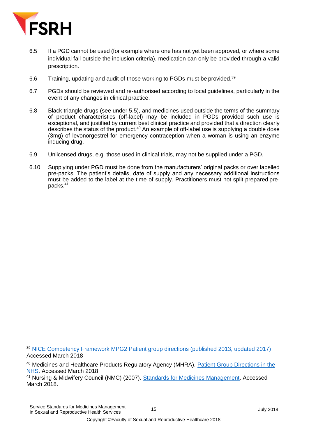

- 6.5 If a PGD cannot be used (for example where one has not yet been approved, or where some individual fall outside the inclusion criteria), medication can only be provided through a valid prescription.
- 6.6 Training, updating and audit of those working to PGDs must be provided.<sup>39</sup>
- 6.7 PGDs should be reviewed and re-authorised according to local guidelines, particularly in the event of any changes in clinical practice.
- 6.8 Black triangle drugs (see under 5.5), and medicines used outside the terms of the summary of product characteristics (off-label) may be included in PGDs provided such use is exceptional, and justified by current best clinical practice and provided that a direction clearly describes the status of the product.<sup>40</sup> An example of off-label use is supplying a double dose (3mg) of levonorgestrel for emergency contraception when a woman is using an enzyme inducing drug.
- 6.9 Unlicensed drugs, e.g. those used in clinical trials, may not be supplied under a PGD.
- 6.10 Supplying under PGD must be done from the manufacturers' original packs or over labelled pre-packs. The patient's details, date of supply and any necessary additional instructions must be added to the label at the time of supply. Practitioners must not split prepared prepacks. 41

<sup>1</sup> <sup>39</sup> [NICE Competency Framework MPG2 Patient group directions \(published 2013, updated 2017\)](https://www.nice.org.uk/Guidance/MPG2/Resources) Accessed March 2018

<sup>40</sup> Medicines and Healthcare Products Regulatory Agency (MHRA). [Patient Group Directions in the](https://www.gov.uk/government/publications/patient-group-directions-pgds/patient-group-directions-who-can-use-them)  [NHS.](https://www.gov.uk/government/publications/patient-group-directions-pgds/patient-group-directions-who-can-use-them) Accessed March 2018

<sup>&</sup>lt;sup>41</sup> Nursing & Midwifery Council (NMC) (2007). [Standards for Medicines Management.](https://www.nmc.org.uk/standards/additional-standards/standards-for-medicines-management/) Accessed March 2018.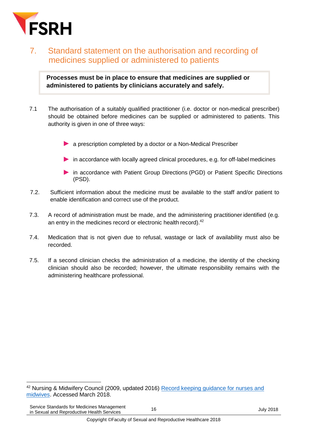

### <span id="page-15-0"></span>7. Standard statement on the authorisation and recording of medicines supplied or administered to patients

**Processes must be in place to ensure that medicines are supplied or administered to patients by clinicians accurately and safely.**

- 7.1 The authorisation of a suitably qualified practitioner (i.e. doctor or non-medical prescriber) should be obtained before medicines can be supplied or administered to patients. This authority is given in one of three ways:
	- a prescription completed by a doctor or a Non-Medical Prescriber
	- in accordance with locally agreed clinical procedures, e.g. for off-labelmedicines
	- in accordance with Patient Group Directions (PGD) or Patient Specific Directions (PSD).
- 7.2. Sufficient information about the medicine must be available to the staff and/or patient to enable identification and correct use of the product.
- 7.3. A record of administration must be made, and the administering practitioner identified (e.g. an entry in the medicines record or electronic health record).<sup>42</sup>
- 7.4. Medication that is not given due to refusal, wastage or lack of availability must also be recorded.
- 7.5. If a second clinician checks the administration of a medicine, the identity of the checking clinician should also be recorded; however, the ultimate responsibility remains with the administering healthcare professional.

<sup>1</sup> <sup>42</sup> Nursing & Midwifery Council (2009, updated 2016) Record keeping quidance for nurses and [midwives.](https://www.nmc.org.uk/standards/code/record-keeping) Accessed March 2018.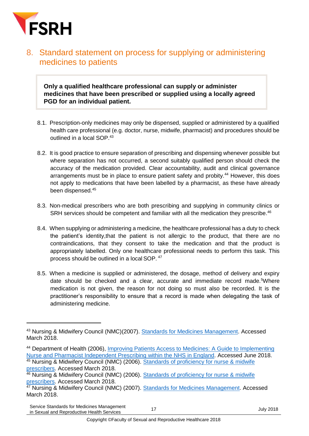

#### <span id="page-16-0"></span>8. Standard statement on process for supplying or administering medicines to patients

**Only a qualified healthcare professional can supply or administer medicines that have been prescribed or supplied using a locally agreed PGD for an individual patient.**

- 8.1. Prescription-only medicines may only be dispensed, supplied or administered by a qualified health care professional (e.g. doctor, nurse, midwife, pharmacist) and procedures should be outlined in a local SOP. 43
- 8.2. It is good practice to ensure separation of prescribing and dispensing whenever possible but where separation has not occurred, a second suitably qualified person should check the accuracy of the medication provided. Clear accountability, audit and clinical governance arrangements must be in place to ensure patient safety and probity.<sup>44</sup> However, this does not apply to medications that have been labelled by a pharmacist, as these have already been dispensed.<sup>45</sup>
- 8.3. Non-medical prescribers who are both prescribing and supplying in community clinics or SRH services should be competent and familiar with all the medication they prescribe.<sup>46</sup>
- 8.4. When supplying or administering a medicine, the healthcare professional has a duty to check the patient's identity,that the patient is not allergic to the product, that there are no contraindications, that they consent to take the medication and that the product is appropriately labelled. Only one healthcare professional needs to perform this task. This process should be outlined in a local SOP. <sup>47</sup>
- 8.5. When a medicine is supplied or administered, the dosage, method of delivery and expiry date should be checked and a clear, accurate and immediate record made.<sup>5</sup>Where medication is not given, the reason for not doing so must also be recorded. It is the practitioner's responsibility to ensure that a record is made when delegating the task of administering medicine.

1

<sup>43</sup> Nursing & Midwifery Council (NMC)(2007). [Standards for Medicines Management.](https://www.nmc.org.uk/standards/additional-standards/standards-for-medicines-management/) Accessed March 2018.

<sup>44</sup> Department of Health (2006), [Improving Patients Access to Medicines: A Guide to Implementing](http://webarchive.nationalarchives.gov.uk/20130124072757/http:/www.dh.gov.uk/prod_consum_dh/groups/dh_digitalassets/@dh/@en/documents/digitalasset/dh_4133747.pdf)  [Nurse and Pharmacist Independent Prescribing within the NHS in England.](http://webarchive.nationalarchives.gov.uk/20130124072757/http:/www.dh.gov.uk/prod_consum_dh/groups/dh_digitalassets/@dh/@en/documents/digitalasset/dh_4133747.pdf) Accessed June 2018.

<sup>45</sup> Nursing & Midwifery Council (NMC) (2006). Standards of proficiency for nurse & midwife [prescribers.](https://www.nmc.org.uk/standards/additional-standards/standards-of-proficiency-for-nurse-and-midwife-prescribers/) Accessed March 2018.

<sup>46</sup> Nursing & Midwifery Council (NMC) (2006). Standards of proficiency for nurse & midwife [prescribers.](https://www.nmc.org.uk/standards/additional-standards/standards-of-proficiency-for-nurse-and-midwife-prescribers/) Accessed March 2018.

<sup>&</sup>lt;sup>47</sup> Nursing & Midwifery Council (NMC) (2007). [Standards for Medicines Management.](https://www.nmc.org.uk/standards/additional-standards/standards-for-medicines-management/) Accessed March 2018.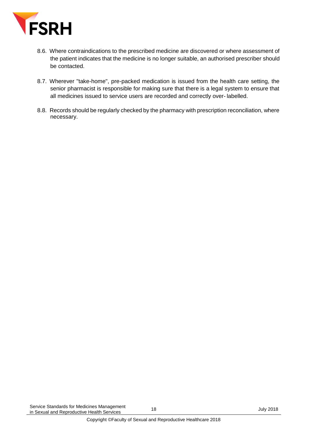

- 8.6. Where contraindications to the prescribed medicine are discovered or where assessment of the patient indicates that the medicine is no longer suitable, an authorised prescriber should be contacted.
- 8.7. Wherever "take-home", pre-packed medication is issued from the health care setting, the senior pharmacist is responsible for making sure that there is a legal system to ensure that all medicines issued to service users are recorded and correctly over- labelled.
- 8.8. Records should be regularly checked by the pharmacy with prescription reconciliation, where necessary.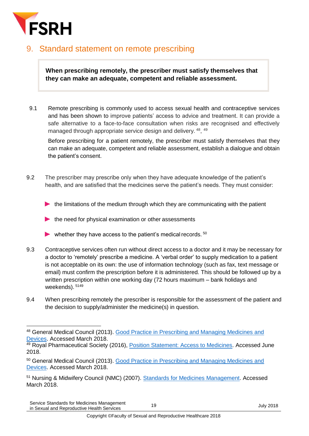

#### <span id="page-18-0"></span>9. Standard statement on remote prescribing

**When prescribing remotely, the prescriber must satisfy themselves that they can make an adequate, competent and reliable assessment.** 

9.1 Remote prescribing is commonly used to access sexual health and contraceptive services and has been shown to improve patients' access to advice and treatment. It can provide a safe alternative to a face-to-face consultation when risks are recognised and effectively managed through appropriate service design and delivery. <sup>48</sup>, <sup>49</sup>

Before prescribing for a patient remotely, the prescriber must satisfy themselves that they can make an adequate, competent and reliable assessment, establish a dialogue and obtain the patient's consent.

- 9.2 The prescriber may prescribe only when they have adequate knowledge of the patient's health, and are satisfied that the medicines serve the patient's needs. They must consider:
	- $\blacktriangleright$  the limitations of the medium through which they are communicating with the patient
	- the need for physical examination or other assessments
	- whether they have access to the patient's medical records.  $50$
- 9.3 Contraceptive services often run without direct access to a doctor and it may be necessary for a doctor to 'remotely' prescribe a medicine. A 'verbal order' to supply medication to a patient is not acceptable on its own: the use of information technology (such as fax, text message or email) must confirm the prescription before it is administered. This should be followed up by a written prescription within one working day (72 hours maximum – bank holidays and weekends). 5149
- 9.4 When prescribing remotely the prescriber is responsible for the assessment of the patient and the decision to supply/administer the medicine(s) in question.

1

<sup>48</sup> General Medical Council (2013). [Good Practice in Prescribing and Managing Medicines and](https://www.gmc-uk.org/Prescribing_guidance.pdf_59055247.pdf)  [Devices.](https://www.gmc-uk.org/Prescribing_guidance.pdf_59055247.pdf) Accessed March 2018.

<sup>&</sup>lt;sup>49</sup> Royal Pharmaceutical Society (2016), **Position Statement: Access to Medicines**. Accessed June 2018.

<sup>50</sup> General Medical Council (2013). [Good Practice in Prescribing and Managing Medicines and](https://www.gmc-uk.org/Prescribing_guidance.pdf_59055247.pdf)  [Devices.](https://www.gmc-uk.org/Prescribing_guidance.pdf_59055247.pdf) Accessed March 2018.

<sup>&</sup>lt;sup>51</sup> Nursing & Midwifery Council (NMC) (2007). [Standards for Medicines Management.](https://www.nmc.org.uk/standards/additional-standards/standards-for-medicines-management/) Accessed March 2018.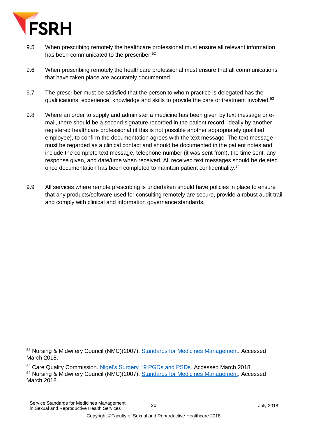

- 9.5 When prescribing remotely the healthcare professional must ensure all relevant information has been communicated to the prescriber. 52
- 9.6 When prescribing remotely the healthcare professional must ensure that all communications that have taken place are accurately documented.
- 9.7 The prescriber must be satisfied that the person to whom practice is delegated has the qualifications, experience, knowledge and skills to provide the care or treatment involved.<sup>53</sup>
- 9.8 Where an order to supply and administer a medicine has been given by text message or email, there should be a second signature recorded in the patient record, ideally by another registered healthcare professional (if this is not possible another appropriately qualified employee), to confirm the documentation agrees with the text message. The text message must be regarded as a clinical contact and should be documented in the patient notes and include the complete text message, telephone number (it was sent from), the time sent, any response given, and date/time when received. All received text messages should be deleted once documentation has been completed to maintain patient confidentiality.<sup>54</sup>
- 9.9 All services where remote prescribing is undertaken should have policies in place to ensure that any products/software used for consulting remotely are secure, provide a robust audit trail and comply with clinical and information governance standards.

<sup>1</sup> <sup>52</sup> Nursing & Midwifery Council (NMC)(2007). [Standards for Medicines Management.](https://www.nmc.org.uk/standards/additional-standards/standards-for-medicines-management/) Accessed March 2018.

<sup>&</sup>lt;sup>53</sup> Care Quality Commission. [Nigel's Surgery 19 PGDs and PSDs.](http://www.cqc.org.uk/guidance-providers/gps/nigels-surgery-19-patient-group-directions-pgds-patient-specific-directions) Accessed March 2018. <sup>54</sup> Nursing & Midwifery Council (NMC)(2007). [Standards for Medicines Management.](https://www.nmc.org.uk/standards/additional-standards/standards-for-medicines-management/) Accessed March 2018.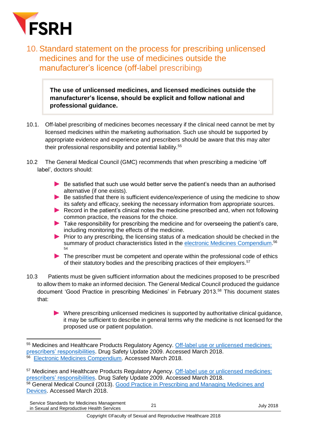

<span id="page-20-0"></span>10. Standard statement on the process for prescribing unlicensed medicines and for the use of medicines outside the manufacturer's licence (off-label prescribing**)**

**The use of unlicensed medicines, and licensed medicines outside the manufacturer's license, should be explicit and follow national and professional guidance.**

- 10.1. Off-label prescribing of medicines becomes necessary if the clinical need cannot be met by licensed medicines within the marketing authorisation. Such use should be supported by appropriate evidence and experience and prescribers should be aware that this may alter their professional responsibility and potential liability.<sup>55</sup>
- 10.2 The General Medical Council (GMC) recommends that when prescribing a medicine 'off label', doctors should:
	- Be satisfied that such use would better serve the patient's needs than an authorised alternative (if one exists).
	- Be satisfied that there is sufficient evidence/experience of using the medicine to show its safety and efficacy, seeking the necessary information from appropriate sources.
	- Record in the patient's clinical notes the medicine prescribed and, when not following common practice, the reasons for the choice.
	- $\blacktriangleright$  Take responsibility for prescribing the medicine and for overseeing the patient's care, including monitoring the effects of the medicine.
	- **Prior to any prescribing, the licensing status of a medication should be checked in the** summary of product characteristics listed in the [electronic Medicines Compendium.](http://www.medicines.org.uk/)<sup>56</sup> 54
	- The prescriber must be competent and operate within the professional code of ethics of their statutory bodies and the prescribing practices of their employers.<sup>57</sup>
- 10.3 Patients must be given sufficient information about the medicines proposed to be prescribed to allow them to make an informed decision. The General Medical Council produced the guidance document 'Good Practice in prescribing Medicines' in February 2013. <sup>58</sup> This document states that:
	- $\blacktriangleright$  Where prescribing unlicensed medicines is supported by authoritative clinical guidance, it may be sufficient to describe in general terms why the medicine is not licensed for the proposed use or patient population.

Service Standards for Medicines Management Service Standards for Medicines Management<br>in Sexual and Reproductive Health Services 21 July 2018

<sup>1</sup> 55 Medicines and Healthcare Products Regulatory Agency. Off-label use or unlicensed medicines: [prescribers' responsibilities.](https://www.gov.uk/drug-safety-update/off-label-or-unlicensed-use-of-medicines-prescribers-responsibilities) Drug Safety Update 2009. Accessed March 2018. 56 [Electronic Medicines Compendium.](https://www.medicines.org.uk/emc) Accessed March 2018.

<sup>57</sup> Medicines and Healthcare Products Regulatory Agency. [Off-label use or unlicensed medicines:](https://www.gov.uk/drug-safety-update/off-label-or-unlicensed-use-of-medicines-prescribers-responsibilities)  [prescribers' responsibilities.](https://www.gov.uk/drug-safety-update/off-label-or-unlicensed-use-of-medicines-prescribers-responsibilities) Drug Safety Update 2009. Accessed March 2018. <sup>58</sup> General Medical Council (2013). Good Practice in Prescribing and Managing Medicines and [Devices.](https://www.gmc-uk.org/Prescribing_guidance.pdf_59055247.pdf) Accessed March 2018.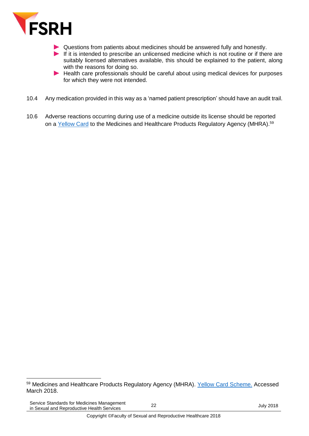

- Questions from patients about medicines should be answered fully and honestly.
- If it is intended to prescribe an unlicensed medicine which is not routine or if there are suitably licensed alternatives available, this should be explained to the patient, along with the reasons for doing so.
- Health care professionals should be careful about using medical devices for purposes for which they were not intended.
- 10.4 Any medication provided in this way as a 'named patient prescription' should have an audit trail.
- 10.6 Adverse reactions occurring during use of a medicine outside its license should be reported on a [Yellow Card](http://yellowcard.mhra.gov.uk/) to the Medicines and Healthcare Products Regulatory Agency (MHRA).<sup>59</sup>

1

<sup>59</sup> Medicines and Healthcare Products Regulatory Agency (MHRA). [Yellow Card Scheme.](https://yellowcard.mhra.gov.uk/) Accessed March 2018.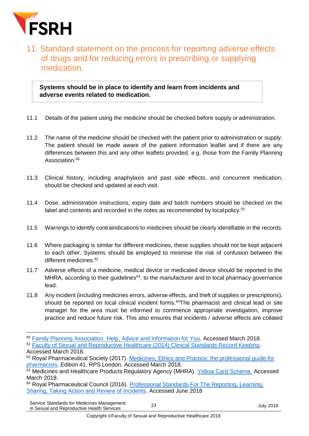

1

### <span id="page-22-0"></span>11. Standard statement on the process for reporting adverse effects of drugs and for reducing errors in prescribing or supplying medication.

**Systems should be in place to identify and learn from incidents and adverse events related to medication.**

- 11.1 Details of the patient using the medicine should be checked before supply or administration.
- 11.2 The name of the medicine should be checked with the patient prior to administration or supply. The patient should be made aware of the patient information leaflet and if there are any differences between this and any other leaflets provided, e.g. those from the Family Planning Association.<sup>60</sup>
- 11.3 Clinical history, including anaphylaxis and past side effects, and concurrent medication, should be checked and updated at each visit.
- 11.4 Dose, administration instructions, expiry date and batch numbers should be checked on the label and contents and recorded in the notes as recommended by local policy.<sup>61</sup>
- 11.5 Warnings to identify contraindications to medicines should be clearly identifiable in the records.
- 11.6 Where packaging is similar for different medicines, these supplies should not be kept adjacent to each other. Systems should be employed to minimise the risk of confusion between the different medicines.<sup>62</sup>
- 11.7 Adverse effects of a medicine, medical device or medicated device should be reported to the MHRA, according to their guidelines<sup>63</sup>, to the manufacturer and to local pharmacy governance lead.
- 11.8 Any incident (including medicines errors, adverse effects, and theft of supplies or prescriptions), should be reported on local clinical incident forms.<sup>64</sup>The pharmacist and clinical lead or site manager for the area must be informed to commence appropriate investigation, improve practice and reduce future risk. This also ensures that incidents / adverse effects are collated

<sup>64</sup> Royal Pharmaceutical Council (2016). Professional Standards For The Reporting, Learning, [Sharing, Taking Action and Review of Incidents.](https://www.rpharms.com/resources/professional-standards/professional-standards-for-error-reporting) Accessed June 2018

<sup>&</sup>lt;sup>60</sup> [Family Planning Association. Help, Advice and Information for You.](https://www.fpa.org.uk/) Accessed March 2018.

<sup>61</sup> [Faculty of Sexual and Reproductive Healthcare \(2014\) Clinical Standards Record Keeping.](https://www.fsrh.org/standards-and-guidance/documents/clinical-standards-recordkeeping-july14/) Accessed March 2018.

<sup>62</sup> Royal Pharmaceutical Society (2017). Medicines, Ethics and Practice: the professional guide for [pharmacists.](https://www.rpharms.com/resources/publications/medicines-ethics-and-practice-mep) Edition 41. RPS London. Accessed March 2018.

<sup>63</sup> Medicines and Healthcare Products Regulatory Agency (MHRA). [Yellow Card Scheme.](https://yellowcard.mhra.gov.uk/) Accessed March 2018.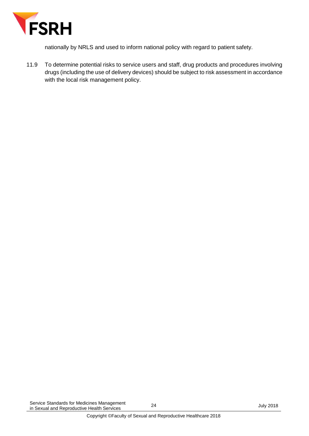

nationally by NRLS and used to inform national policy with regard to patient safety.

11.9 To determine potential risks to service users and staff, drug products and procedures involving drugs (including the use of delivery devices) should be subject to risk assessment in accordance with the local risk management policy.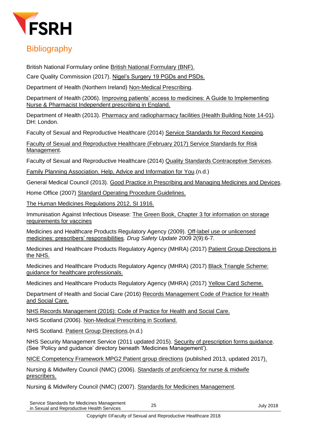

### <span id="page-24-0"></span>**Bibliography**

British National Formulary online [British National Formulary \(BNF\).](https://www.bnf.org/)

Care Quality Commission (2017). [Nigel's Surgery 19 PGDs and PSDs.](http://www.cqc.org.uk/guidance-providers/gps/nigels-surgery-19-patient-group-directions-pgds-patient-specific-directions)

Department of Health (Northern Ireland) [Non-Medical Prescribing.](https://www.health-ni.gov.uk/articles/pharmaceutical-non-medical-prescribing)

Department of Health (2006). [Improving patients' access to medicines: A Guide to Implementing](http://webarchive.nationalarchives.gov.uk/20120907164805/http:/www.dh.gov.uk/en/Publicationsandstatistics/Publications/PublicationsPolicyAndGuidance/DH_4133743)  [Nurse & Pharmacist Independent prescribing in England.](http://webarchive.nationalarchives.gov.uk/20120907164805/http:/www.dh.gov.uk/en/Publicationsandstatistics/Publications/PublicationsPolicyAndGuidance/DH_4133743)

Department of Health (2013). [Pharmacy and radiopharmacy facilities \(Health Building](https://www.gov.uk/government/publications/guidance-on-the-design-and-layout-of-pharmacy-and-radiopharmacy-facilities) Note 14-01). DH: London.

Faculty of Sexual and Reproductive Healthcare (2014) [Service Standards for Record Keeping](https://www.fsrh.org/standards-and-guidance/documents/clinical-standards-recordkeeping-july14/).

[Faculty of Sexual and Reproductive Healthcare \(February 2017\) Service Standards for Risk](https://www.fsrh.org/standards-and-guidance/documents/fsrh-service-standards-for-risk-management-in-sexual-and/)  [Management.](https://www.fsrh.org/standards-and-guidance/documents/fsrh-service-standards-for-risk-management-in-sexual-and/)

Faculty of Sexual and Reproductive Healthcare (2014) [Quality Standards Contraceptive Services.](https://www.fsrh.org/standards-and-guidance/documents/fsrhqualitystandardcontraceptiveservices/)

[Family Planning Association. Help, Advice and Information for You.](https://www.fpa.org.uk/)(n.d.)

General Medical Council (2013). [Good Practice in Prescribing and Managing Medicines and Devices.](https://www.gmc-uk.org/Prescribing_guidance.pdf_59055247.pdf)

Home Office (2007) [Standard Operating Procedure Guidelines.](https://www.gov.uk/government/publications/standard-operating-procedure-guidelines)

[The Human Medicines Regulations 2012, SI 1916.](http://www.legislation.gov.uk/uksi/2012/1916/contents/made)

Immunisation Against Infectious Disease: [The Green Book, Chapter 3 for information on storage](https://www.gov.uk/government/publications/storage-distribution-and-disposal-of-vaccines-the-green-book-chapter-3)  [requirements for vaccines](https://www.gov.uk/government/publications/storage-distribution-and-disposal-of-vaccines-the-green-book-chapter-3)

Medicines and Healthcare Products Regulatory Agency (2009). [Off-label use or unlicensed](https://www.gov.uk/drug-safety-update/off-label-or-unlicensed-use-of-medicines-prescribers-responsibilities)  [medicines: prescribers' responsibilities.](https://www.gov.uk/drug-safety-update/off-label-or-unlicensed-use-of-medicines-prescribers-responsibilities) *Drug Safety Update* 2009 2(9):6-7.

Medicines and Healthcare Products Regulatory Agency (MHRA) (2017) [Patient Group Directions in](https://www.gov.uk/government/publications/patient-group-directions-pgds/patient-group-directions-who-can-use-them) [the NHS.](https://www.gov.uk/government/publications/patient-group-directions-pgds/patient-group-directions-who-can-use-them)

Medicines and Healthcare Products Regulatory Agency (MHRA) (2017) [Black Triangle Scheme:](https://www.gov.uk/guidance/the-yellow-card-scheme-guidance-for-healthcare-professionals#black-triangle-scheme)  [guidance for healthcare professionals.](https://www.gov.uk/guidance/the-yellow-card-scheme-guidance-for-healthcare-professionals#black-triangle-scheme)

Medicines and Healthcare Products Regulatory Agency (MHRA) (2017) [Yellow Card Scheme.](https://yellowcard.mhra.gov.uk/)

Department of Health and Social Care (2016) Records Management Code of Practice for Health [and Social Care.](https://www.gov.uk/government/publications/records-management-code-of-practice-for-health-and-social-care)

[NHS Records Management \(2016\): Code of Practice for Health and Social Care.](https://www.gov.uk/government/publications/records-management-code-of-practice-for-health-and-social-care)

NHS Scotland (2006). [Non-Medical Prescribing in Scotland.](http://www.gov.scot/Topics/Health/NHS-Workforce/Pharmacists/Non-Medical-Prescribing)

NHS Scotland. [Patient Group Directions.](http://www.nes.scot.nhs.uk/education-and-training/by-theme-initiative/prescribing-and-patient-group-direction/patient-group-directions.aspx)(n.d.)

NHS Security Management Service (2011 updated 2015). [Security of prescription forms guidance.](https://www.neneccg.nhs.uk/document-library/) (See 'Policy and guidance' directory beneath 'Medicines Management').

[NICE Competency Framework MPG2 Patient group directions](https://www.nice.org.uk/Guidance/MPG2/Resources) (published 2013, updated 2017).

Nursing & Midwifery Council (NMC) (2006). Standards of proficiency for nurse & midwife [prescribers.](https://www.nmc.org.uk/standards/additional-standards/standards-of-proficiency-for-nurse-and-midwife-prescribers/)

Nursing & Midwifery Council (NMC) (2007). [Standards for Medicines Management.](https://www.nmc.org.uk/standards/additional-standards/standards-for-medicines-management/)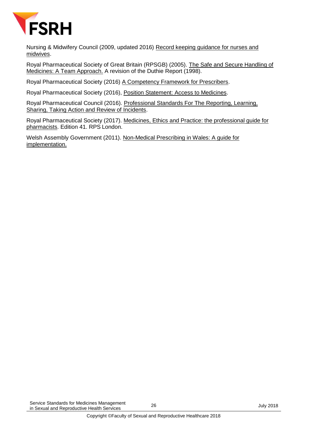

Nursing & Midwifery Council (2009, updated 2016) [Record keeping guidance](https://www.nmc.org.uk/standards/code/record-keeping) for nurses and [midwives.](https://www.nmc.org.uk/standards/code/record-keeping)

Royal Pharmaceutical Society of Great Britain (RPSGB) (2005). [The Safe and Secure Handling of](https://www.rpharms.com/making-a-difference/projects-and-campaigns/safe-and-secure-handling-of-medicines)  [Medicines: A Team Approach.](https://www.rpharms.com/making-a-difference/projects-and-campaigns/safe-and-secure-handling-of-medicines) A revision of the Duthie Report (1998).

Royal Pharmaceutical Society (2016) [A Competency Framework for Prescribers.](https://www.rpharms.com/resources/frameworks/prescribers-competency-framework)

Royal Pharmaceutical Society (2016), [Position Statement: Access to Medicines.](https://www.rpharms.com/making-a-difference/policy-a-z/access-to-medicines)

Royal Pharmaceutical Council (2016). [Professional Standards For The Reporting, Learning,](https://www.rpharms.com/resources/professional-standards/professional-standards-for-error-reporting)  [Sharing, Taking Action and Review of Incidents.](https://www.rpharms.com/resources/professional-standards/professional-standards-for-error-reporting)

Royal Pharmaceutical Society (2017). [Medicines, Ethics and Practice: the professional guide for](https://www.rpharms.com/resources/publications/medicines-ethics-and-practice-mep)  [pharmacists.](https://www.rpharms.com/resources/publications/medicines-ethics-and-practice-mep) Edition 41. RPS London.

Welsh Assembly Government (2011). [Non-Medical Prescribing in Wales: A guide for](http://www.wales.nhs.uk/sitesplus/documents/861/Non%20medical%20prescribing%20guidance%202011.pdf)  [implementation.](http://www.wales.nhs.uk/sitesplus/documents/861/Non%20medical%20prescribing%20guidance%202011.pdf)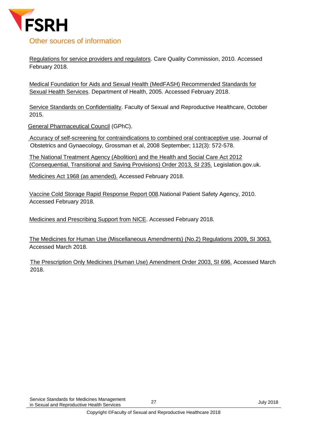

#### <span id="page-26-0"></span>Other sources of information

[Regulations for service providers and regulators.](http://www.cqc.org.uk/guidance-providers/regulations-enforcement/regulations-service-providers-managers) Care Quality Commission, 2010. Accessed February 2018.

[Medical Foundation for Aids and Sexual Health \(MedFASH\) Recommended Standards for](http://www.medfash.org.uk/uploads/files/p17abl6hvc4p71ovpkr81ugsh60v.pdf)  [Sexual Health Services.](http://www.medfash.org.uk/uploads/files/p17abl6hvc4p71ovpkr81ugsh60v.pdf) Department of Health, 2005. Accessed February 2018.

[Service Standards on Confidentiality.](https://www.fsrh.org/standards-and-guidance/documents/clinical-standards-service-standards-confidentiality/) Faculty of Sexual and Reproductive Healthcare, October 2015.

[General Pharmaceutical Council](http://www.pharmacyregulation.org/) (GPhC).

[Accuracy of self-screening for contraindications to combined oral contraceptive use.](http://europepmc.org/abstract/MED/18757654) Journal of Obstetrics and Gynaecology, Grossman et al, 2008 September; 112(3): 572-578.

[The National Treatment Agency \(Abolition\) and the Health and Social Care Act 2012](http://www.legislation.gov.uk/uksi/2013/235/contents/made)  [\(Consequential, Transitional and Saving Provisions\) Order 2013, SI 235.](http://www.legislation.gov.uk/uksi/2013/235/contents/made) Legislation.gov.uk.

[Medicines Act 1968 \(as amended\).](http://www.legislation.gov.uk/ukpga/1968/67/contents) Accessed February 2018.

[Vaccine Cold Storage Rapid Response Report 008.](http://www.nrls.npsa.nhs.uk/alerts/?entryid45=66111)National Patient Safety Agency, 2010. Accessed February 2018.

[Medicines and Prescribing Support from NICE.](https://www.nice.org.uk/about/nice-communities/medicines-and-prescribing) Accessed February 2018.

[The Medicines for Human Use \(Miscellaneous Amendments\) \(No.2\) Regulations 2009, SI 3063.](http://www.legislation.gov.uk/uksi/2009/3063/contents/made) Accessed March 2018.

[The Prescription Only Medicines \(Human Use\) Amendment Order 2003, SI 696.](http://www.hmso.gov.uk/si/si2003/20030696.htm) Accessed March 2018.